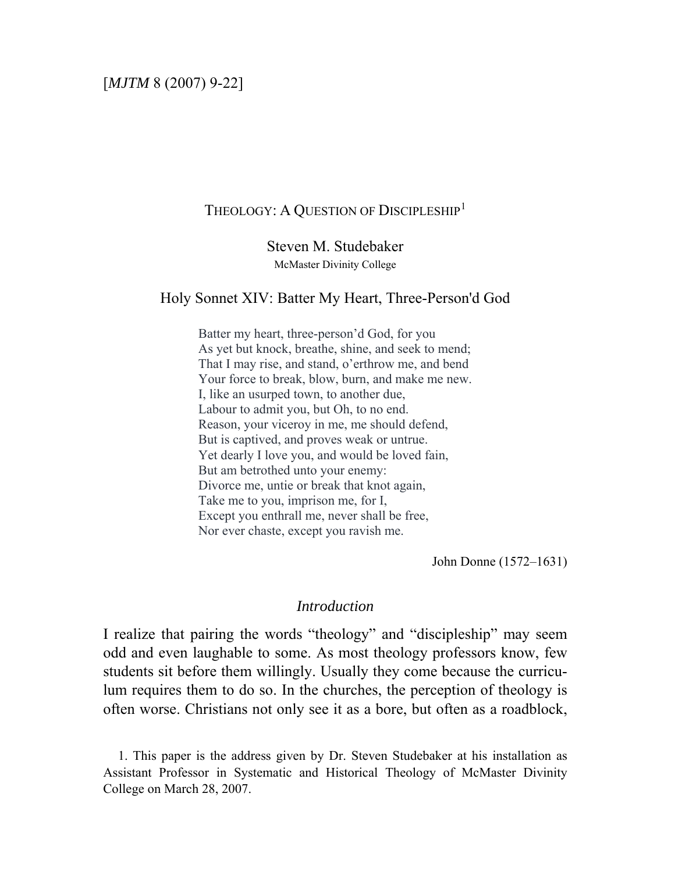# THEOLOGY: A QUESTION OF DISCIPLESHIP<sup>[1](#page-0-0)</sup>

Steven M. Studebaker McMaster Divinity College

## Holy Sonnet XIV: Batter My Heart, Three-Person'd God

Batter my heart, three-person'd God, for you As yet but knock, breathe, shine, and seek to mend; That I may rise, and stand, o'erthrow me, and bend Your force to break, blow, burn, and make me new. I, like an usurped town, to another due, Labour to admit you, but Oh, to no end. Reason, your viceroy in me, me should defend, But is captived, and proves weak or untrue. Yet dearly I love you, and would be loved fain, But am betrothed unto your enemy: Divorce me, untie or break that knot again, Take me to you, imprison me, for I, Except you enthrall me, never shall be free, Nor ever chaste, except you ravish me.

John Donne (1572–1631)

#### *Introduction*

I realize that pairing the words "theology" and "discipleship" may seem odd and even laughable to some. As most theology professors know, few students sit before them willingly. Usually they come because the curriculum requires them to do so. In the churches, the perception of theology is often worse. Christians not only see it as a bore, but often as a roadblock,

<span id="page-0-0"></span> 1. This paper is the address given by Dr. Steven Studebaker at his installation as Assistant Professor in Systematic and Historical Theology of McMaster Divinity College on March 28, 2007.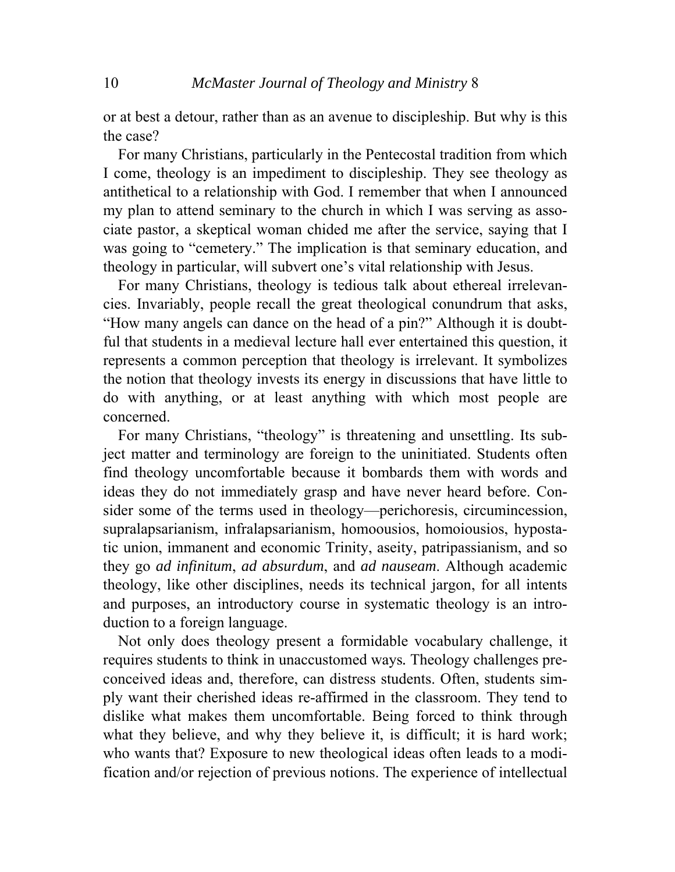or at best a detour, rather than as an avenue to discipleship. But why is this the case?

 For many Christians, particularly in the Pentecostal tradition from which I come, theology is an impediment to discipleship. They see theology as antithetical to a relationship with God. I remember that when I announced my plan to attend seminary to the church in which I was serving as associate pastor, a skeptical woman chided me after the service, saying that I was going to "cemetery." The implication is that seminary education, and theology in particular, will subvert one's vital relationship with Jesus.

 For many Christians, theology is tedious talk about ethereal irrelevancies. Invariably, people recall the great theological conundrum that asks, "How many angels can dance on the head of a pin?" Although it is doubtful that students in a medieval lecture hall ever entertained this question, it represents a common perception that theology is irrelevant. It symbolizes the notion that theology invests its energy in discussions that have little to do with anything, or at least anything with which most people are concerned.

 For many Christians, "theology" is threatening and unsettling. Its subject matter and terminology are foreign to the uninitiated. Students often find theology uncomfortable because it bombards them with words and ideas they do not immediately grasp and have never heard before. Consider some of the terms used in theology—perichoresis, circumincession, supralapsarianism, infralapsarianism, homoousios, homoiousios, hypostatic union, immanent and economic Trinity, aseity, patripassianism, and so they go *ad infinitum*, *ad absurdum*, and *ad nauseam*. Although academic theology, like other disciplines, needs its technical jargon, for all intents and purposes, an introductory course in systematic theology is an introduction to a foreign language.

 Not only does theology present a formidable vocabulary challenge, it requires students to think in unaccustomed ways*.* Theology challenges preconceived ideas and, therefore, can distress students. Often, students simply want their cherished ideas re-affirmed in the classroom. They tend to dislike what makes them uncomfortable. Being forced to think through what they believe, and why they believe it, is difficult; it is hard work; who wants that? Exposure to new theological ideas often leads to a modification and/or rejection of previous notions. The experience of intellectual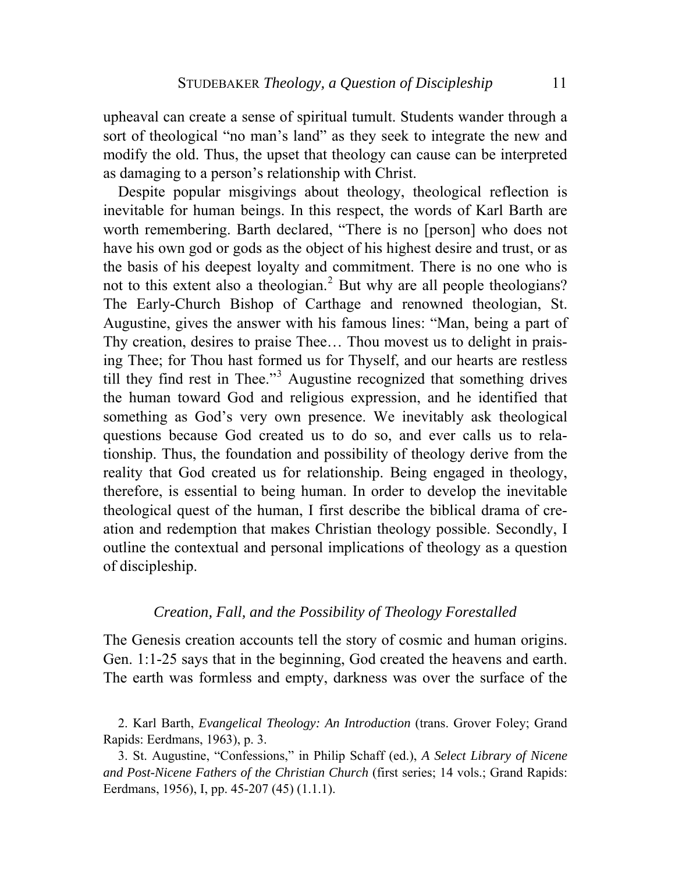upheaval can create a sense of spiritual tumult. Students wander through a sort of theological "no man's land" as they seek to integrate the new and modify the old. Thus, the upset that theology can cause can be interpreted as damaging to a person's relationship with Christ.

 Despite popular misgivings about theology, theological reflection is inevitable for human beings. In this respect, the words of Karl Barth are worth remembering. Barth declared, "There is no [person] who does not have his own god or gods as the object of his highest desire and trust, or as the basis of his deepest loyalty and commitment. There is no one who is not to this extent also a theologian.<sup>[2](#page-2-0)</sup> But why are all people theologians? The Early-Church Bishop of Carthage and renowned theologian, St. Augustine, gives the answer with his famous lines: "Man, being a part of Thy creation, desires to praise Thee… Thou movest us to delight in praising Thee; for Thou hast formed us for Thyself, and our hearts are restless till they find rest in Thee."<sup>[3](#page-2-1)</sup> Augustine recognized that something drives the human toward God and religious expression, and he identified that something as God's very own presence. We inevitably ask theological questions because God created us to do so, and ever calls us to relationship. Thus, the foundation and possibility of theology derive from the reality that God created us for relationship. Being engaged in theology, therefore, is essential to being human. In order to develop the inevitable theological quest of the human, I first describe the biblical drama of creation and redemption that makes Christian theology possible. Secondly, I outline the contextual and personal implications of theology as a question of discipleship.

### *Creation, Fall, and the Possibility of Theology Forestalled*

The Genesis creation accounts tell the story of cosmic and human origins. Gen. 1:1-25 says that in the beginning, God created the heavens and earth. The earth was formless and empty, darkness was over the surface of the

<span id="page-2-1"></span> 3. St. Augustine, "Confessions," in Philip Schaff (ed.), *A Select Library of Nicene and Post-Nicene Fathers of the Christian Church* (first series; 14 vols.; Grand Rapids: Eerdmans, 1956), I, pp. 45-207 (45) (1.1.1).

<span id="page-2-0"></span> <sup>2.</sup> Karl Barth, *Evangelical Theology: An Introduction* (trans. Grover Foley; Grand Rapids: Eerdmans, 1963), p. 3.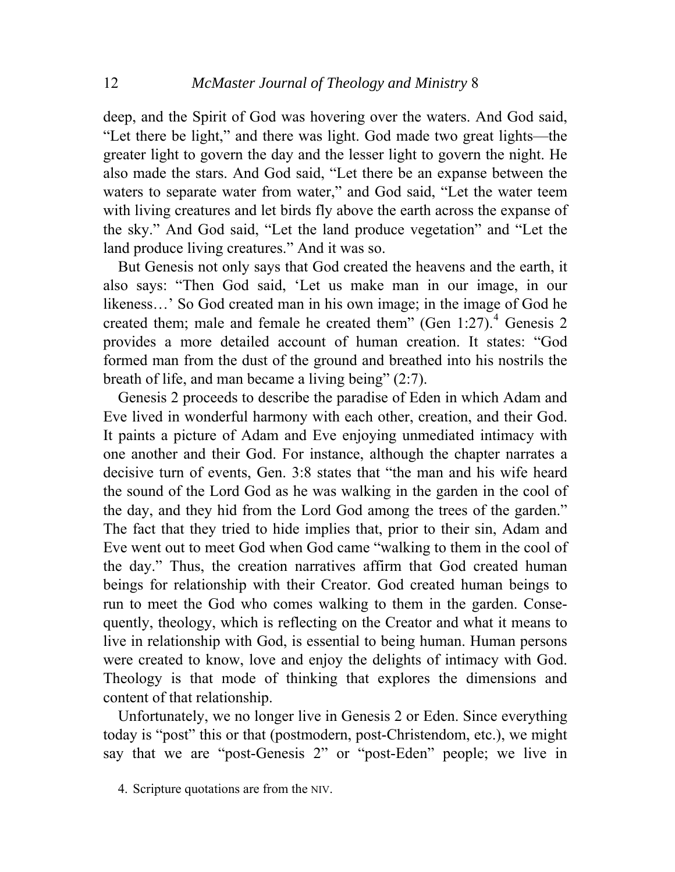deep, and the Spirit of God was hovering over the waters. And God said, "Let there be light," and there was light. God made two great lights—the greater light to govern the day and the lesser light to govern the night. He also made the stars. And God said, "Let there be an expanse between the waters to separate water from water," and God said, "Let the water teem with living creatures and let birds fly above the earth across the expanse of the sky." And God said, "Let the land produce vegetation" and "Let the land produce living creatures." And it was so.

 But Genesis not only says that God created the heavens and the earth, it also says: "Then God said, 'Let us make man in our image, in our likeness…' So God created man in his own image; in the image of God he created them; male and female he created them" (Gen  $1:27$ ).<sup>[4](#page-3-0)</sup> Genesis 2 provides a more detailed account of human creation. It states: "God formed man from the dust of the ground and breathed into his nostrils the breath of life, and man became a living being" (2:7).

 Genesis 2 proceeds to describe the paradise of Eden in which Adam and Eve lived in wonderful harmony with each other, creation, and their God. It paints a picture of Adam and Eve enjoying unmediated intimacy with one another and their God. For instance, although the chapter narrates a decisive turn of events, Gen. 3:8 states that "the man and his wife heard the sound of the Lord God as he was walking in the garden in the cool of the day, and they hid from the Lord God among the trees of the garden." The fact that they tried to hide implies that, prior to their sin, Adam and Eve went out to meet God when God came "walking to them in the cool of the day." Thus, the creation narratives affirm that God created human beings for relationship with their Creator. God created human beings to run to meet the God who comes walking to them in the garden. Consequently, theology, which is reflecting on the Creator and what it means to live in relationship with God, is essential to being human. Human persons were created to know, love and enjoy the delights of intimacy with God. Theology is that mode of thinking that explores the dimensions and content of that relationship.

 Unfortunately, we no longer live in Genesis 2 or Eden. Since everything today is "post" this or that (postmodern, post-Christendom, etc.), we might say that we are "post-Genesis 2" or "post-Eden" people; we live in

<span id="page-3-0"></span> <sup>4.</sup> Scripture quotations are from the NIV.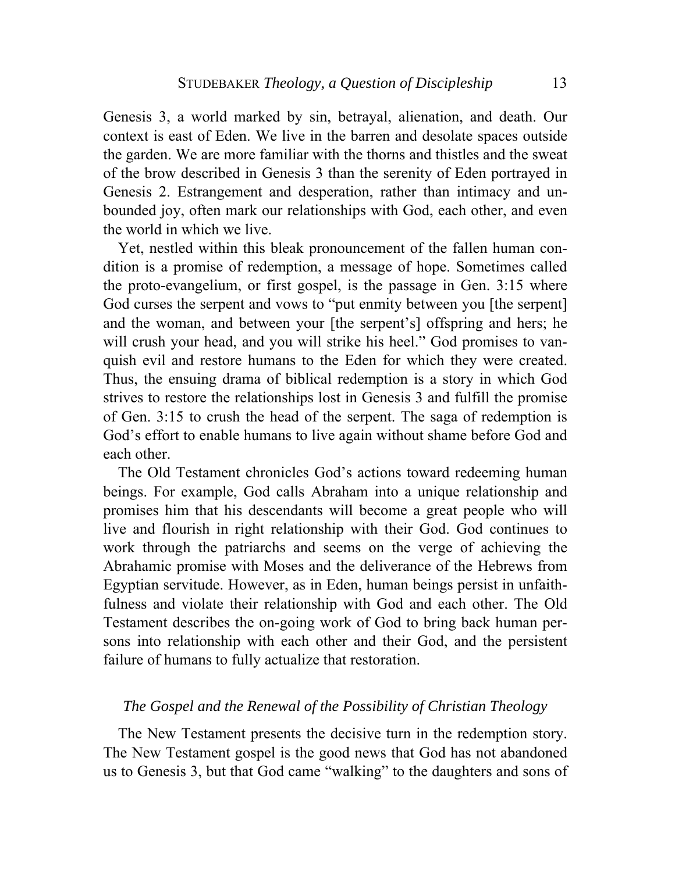Genesis 3, a world marked by sin, betrayal, alienation, and death. Our context is east of Eden. We live in the barren and desolate spaces outside the garden. We are more familiar with the thorns and thistles and the sweat of the brow described in Genesis 3 than the serenity of Eden portrayed in Genesis 2. Estrangement and desperation, rather than intimacy and unbounded joy, often mark our relationships with God, each other, and even the world in which we live.

 Yet, nestled within this bleak pronouncement of the fallen human condition is a promise of redemption, a message of hope. Sometimes called the proto-evangelium, or first gospel, is the passage in Gen. 3:15 where God curses the serpent and vows to "put enmity between you [the serpent] and the woman, and between your [the serpent's] offspring and hers; he will crush your head, and you will strike his heel." God promises to vanquish evil and restore humans to the Eden for which they were created. Thus, the ensuing drama of biblical redemption is a story in which God strives to restore the relationships lost in Genesis 3 and fulfill the promise of Gen. 3:15 to crush the head of the serpent. The saga of redemption is God's effort to enable humans to live again without shame before God and each other.

 The Old Testament chronicles God's actions toward redeeming human beings. For example, God calls Abraham into a unique relationship and promises him that his descendants will become a great people who will live and flourish in right relationship with their God. God continues to work through the patriarchs and seems on the verge of achieving the Abrahamic promise with Moses and the deliverance of the Hebrews from Egyptian servitude. However, as in Eden, human beings persist in unfaithfulness and violate their relationship with God and each other. The Old Testament describes the on-going work of God to bring back human persons into relationship with each other and their God, and the persistent failure of humans to fully actualize that restoration.

### *The Gospel and the Renewal of the Possibility of Christian Theology*

 The New Testament presents the decisive turn in the redemption story. The New Testament gospel is the good news that God has not abandoned us to Genesis 3, but that God came "walking" to the daughters and sons of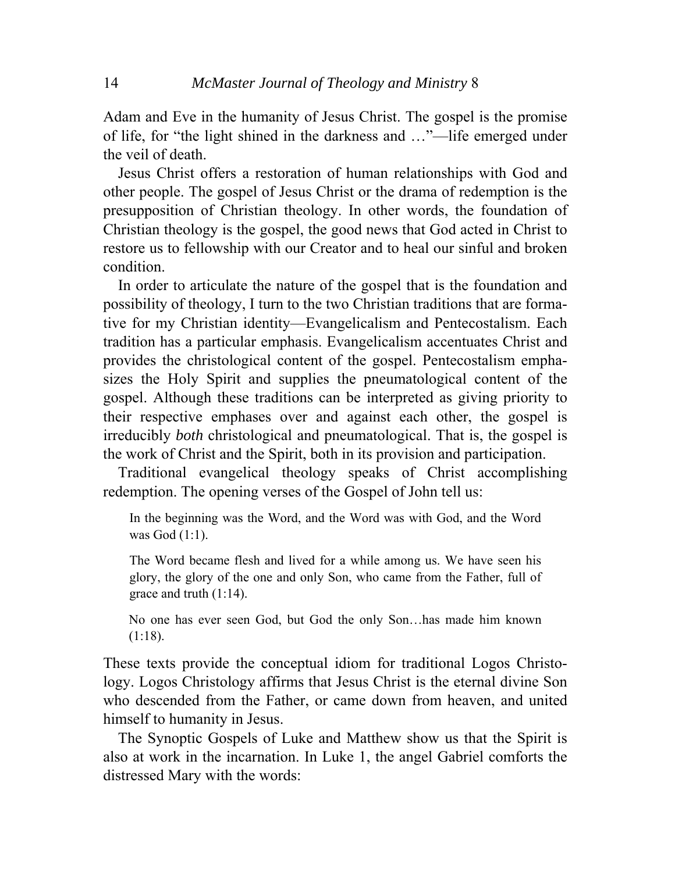Adam and Eve in the humanity of Jesus Christ. The gospel is the promise of life, for "the light shined in the darkness and …"—life emerged under the veil of death.

 Jesus Christ offers a restoration of human relationships with God and other people. The gospel of Jesus Christ or the drama of redemption is the presupposition of Christian theology. In other words, the foundation of Christian theology is the gospel, the good news that God acted in Christ to restore us to fellowship with our Creator and to heal our sinful and broken condition.

 In order to articulate the nature of the gospel that is the foundation and possibility of theology, I turn to the two Christian traditions that are formative for my Christian identity—Evangelicalism and Pentecostalism. Each tradition has a particular emphasis. Evangelicalism accentuates Christ and provides the christological content of the gospel. Pentecostalism emphasizes the Holy Spirit and supplies the pneumatological content of the gospel. Although these traditions can be interpreted as giving priority to their respective emphases over and against each other, the gospel is irreducibly *both* christological and pneumatological. That is, the gospel is the work of Christ and the Spirit, both in its provision and participation.

 Traditional evangelical theology speaks of Christ accomplishing redemption. The opening verses of the Gospel of John tell us:

In the beginning was the Word, and the Word was with God, and the Word was God (1:1).

The Word became flesh and lived for a while among us. We have seen his glory, the glory of the one and only Son, who came from the Father, full of grace and truth (1:14).

No one has ever seen God, but God the only Son…has made him known (1:18).

These texts provide the conceptual idiom for traditional Logos Christology. Logos Christology affirms that Jesus Christ is the eternal divine Son who descended from the Father, or came down from heaven, and united himself to humanity in Jesus.

 The Synoptic Gospels of Luke and Matthew show us that the Spirit is also at work in the incarnation. In Luke 1, the angel Gabriel comforts the distressed Mary with the words: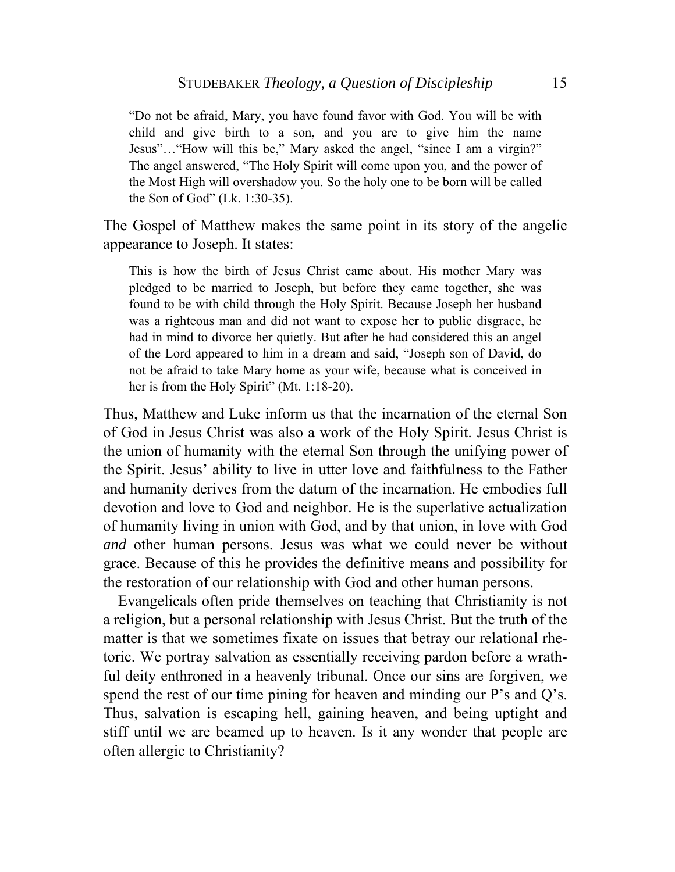"Do not be afraid, Mary, you have found favor with God. You will be with child and give birth to a son, and you are to give him the name Jesus"…"How will this be," Mary asked the angel, "since I am a virgin?" The angel answered, "The Holy Spirit will come upon you, and the power of the Most High will overshadow you. So the holy one to be born will be called the Son of God" (Lk. 1:30-35).

The Gospel of Matthew makes the same point in its story of the angelic appearance to Joseph. It states:

This is how the birth of Jesus Christ came about. His mother Mary was pledged to be married to Joseph, but before they came together, she was found to be with child through the Holy Spirit. Because Joseph her husband was a righteous man and did not want to expose her to public disgrace, he had in mind to divorce her quietly. But after he had considered this an angel of the Lord appeared to him in a dream and said, "Joseph son of David, do not be afraid to take Mary home as your wife, because what is conceived in her is from the Holy Spirit" (Mt. 1:18-20).

Thus, Matthew and Luke inform us that the incarnation of the eternal Son of God in Jesus Christ was also a work of the Holy Spirit. Jesus Christ is the union of humanity with the eternal Son through the unifying power of the Spirit. Jesus' ability to live in utter love and faithfulness to the Father and humanity derives from the datum of the incarnation. He embodies full devotion and love to God and neighbor. He is the superlative actualization of humanity living in union with God, and by that union, in love with God *and* other human persons. Jesus was what we could never be without grace. Because of this he provides the definitive means and possibility for the restoration of our relationship with God and other human persons.

 Evangelicals often pride themselves on teaching that Christianity is not a religion, but a personal relationship with Jesus Christ. But the truth of the matter is that we sometimes fixate on issues that betray our relational rhetoric. We portray salvation as essentially receiving pardon before a wrathful deity enthroned in a heavenly tribunal. Once our sins are forgiven, we spend the rest of our time pining for heaven and minding our P's and Q's. Thus, salvation is escaping hell, gaining heaven, and being uptight and stiff until we are beamed up to heaven. Is it any wonder that people are often allergic to Christianity?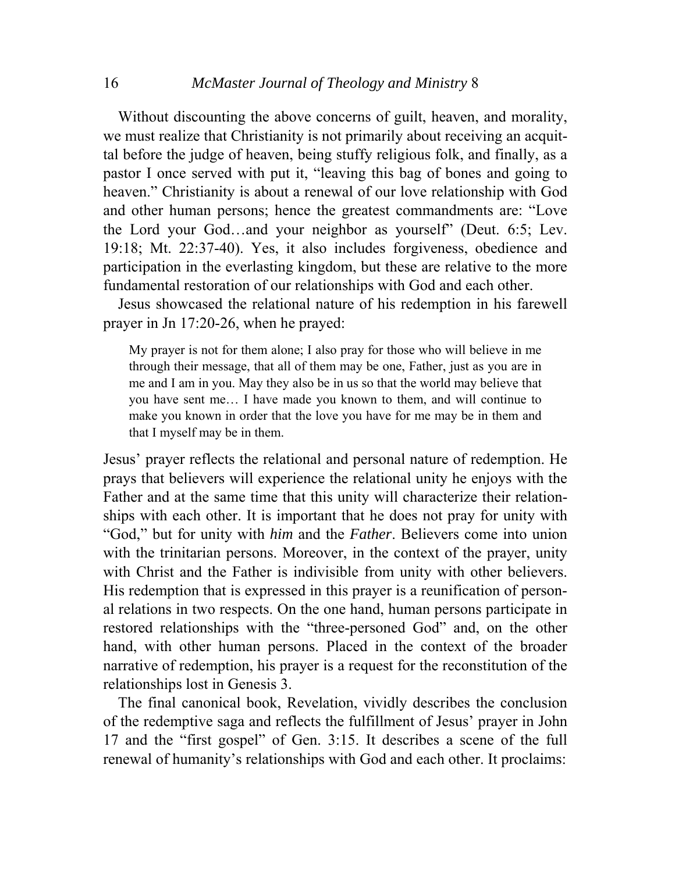#### 16 *McMaster Journal of Theology and Ministry* 8

 Without discounting the above concerns of guilt, heaven, and morality, we must realize that Christianity is not primarily about receiving an acquittal before the judge of heaven, being stuffy religious folk, and finally, as a pastor I once served with put it, "leaving this bag of bones and going to heaven." Christianity is about a renewal of our love relationship with God and other human persons; hence the greatest commandments are: "Love the Lord your God…and your neighbor as yourself" (Deut. 6:5; Lev. 19:18; Mt. 22:37-40). Yes, it also includes forgiveness, obedience and participation in the everlasting kingdom, but these are relative to the more fundamental restoration of our relationships with God and each other.

 Jesus showcased the relational nature of his redemption in his farewell prayer in Jn 17:20-26, when he prayed:

My prayer is not for them alone; I also pray for those who will believe in me through their message, that all of them may be one, Father, just as you are in me and I am in you. May they also be in us so that the world may believe that you have sent me… I have made you known to them, and will continue to make you known in order that the love you have for me may be in them and that I myself may be in them.

Jesus' prayer reflects the relational and personal nature of redemption. He prays that believers will experience the relational unity he enjoys with the Father and at the same time that this unity will characterize their relationships with each other. It is important that he does not pray for unity with "God," but for unity with *him* and the *Father*. Believers come into union with the trinitarian persons. Moreover, in the context of the prayer, unity with Christ and the Father is indivisible from unity with other believers. His redemption that is expressed in this prayer is a reunification of personal relations in two respects. On the one hand, human persons participate in restored relationships with the "three-personed God" and, on the other hand, with other human persons. Placed in the context of the broader narrative of redemption, his prayer is a request for the reconstitution of the relationships lost in Genesis 3.

 The final canonical book, Revelation, vividly describes the conclusion of the redemptive saga and reflects the fulfillment of Jesus' prayer in John 17 and the "first gospel" of Gen. 3:15. It describes a scene of the full renewal of humanity's relationships with God and each other. It proclaims: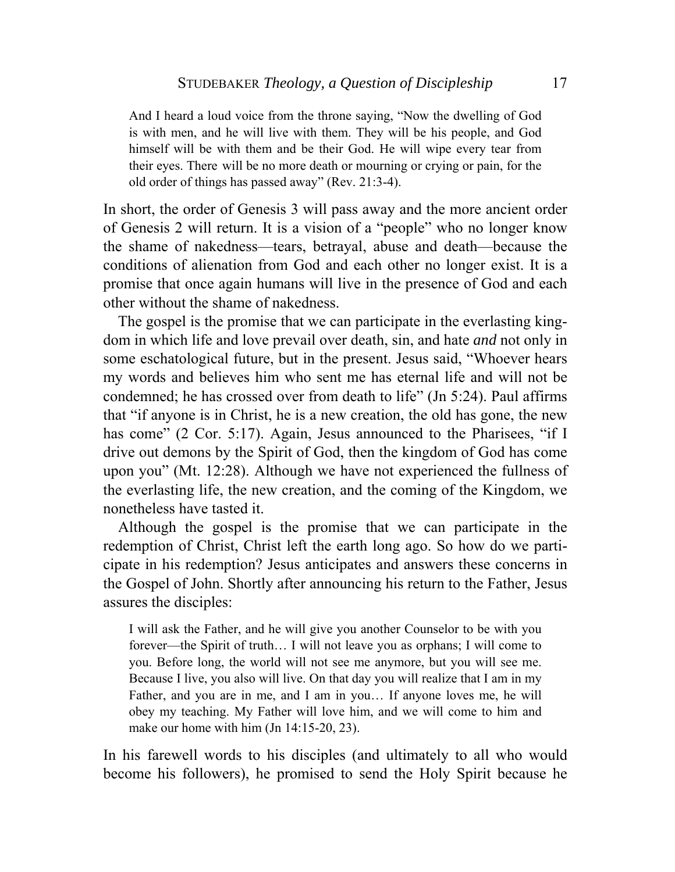And I heard a loud voice from the throne saying, "Now the dwelling of God is with men, and he will live with them. They will be his people, and God himself will be with them and be their God. He will wipe every tear from their eyes. There will be no more death or mourning or crying or pain, for the old order of things has passed away" (Rev. 21:3-4).

In short, the order of Genesis 3 will pass away and the more ancient order of Genesis 2 will return. It is a vision of a "people" who no longer know the shame of nakedness—tears, betrayal, abuse and death—because the conditions of alienation from God and each other no longer exist. It is a promise that once again humans will live in the presence of God and each other without the shame of nakedness.

 The gospel is the promise that we can participate in the everlasting kingdom in which life and love prevail over death, sin, and hate *and* not only in some eschatological future, but in the present. Jesus said, "Whoever hears my words and believes him who sent me has eternal life and will not be condemned; he has crossed over from death to life" (Jn 5:24). Paul affirms that "if anyone is in Christ, he is a new creation, the old has gone, the new has come" (2 Cor. 5:17). Again, Jesus announced to the Pharisees, "if I drive out demons by the Spirit of God, then the kingdom of God has come upon you" (Mt. 12:28). Although we have not experienced the fullness of the everlasting life, the new creation, and the coming of the Kingdom, we nonetheless have tasted it.

 Although the gospel is the promise that we can participate in the redemption of Christ, Christ left the earth long ago. So how do we participate in his redemption? Jesus anticipates and answers these concerns in the Gospel of John. Shortly after announcing his return to the Father, Jesus assures the disciples:

I will ask the Father, and he will give you another Counselor to be with you forever—the Spirit of truth… I will not leave you as orphans; I will come to you. Before long, the world will not see me anymore, but you will see me. Because I live, you also will live. On that day you will realize that I am in my Father, and you are in me, and I am in you… If anyone loves me, he will obey my teaching. My Father will love him, and we will come to him and make our home with him (Jn 14:15-20, 23).

In his farewell words to his disciples (and ultimately to all who would become his followers), he promised to send the Holy Spirit because he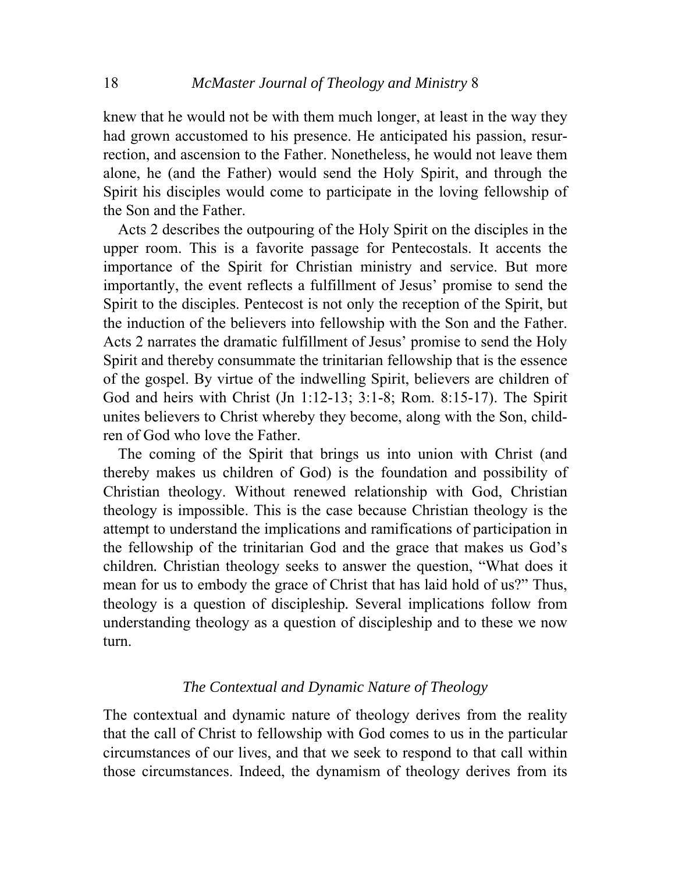knew that he would not be with them much longer, at least in the way they had grown accustomed to his presence. He anticipated his passion, resurrection, and ascension to the Father. Nonetheless, he would not leave them alone, he (and the Father) would send the Holy Spirit, and through the Spirit his disciples would come to participate in the loving fellowship of the Son and the Father.

 Acts 2 describes the outpouring of the Holy Spirit on the disciples in the upper room. This is a favorite passage for Pentecostals. It accents the importance of the Spirit for Christian ministry and service. But more importantly, the event reflects a fulfillment of Jesus' promise to send the Spirit to the disciples. Pentecost is not only the reception of the Spirit, but the induction of the believers into fellowship with the Son and the Father. Acts 2 narrates the dramatic fulfillment of Jesus' promise to send the Holy Spirit and thereby consummate the trinitarian fellowship that is the essence of the gospel. By virtue of the indwelling Spirit, believers are children of God and heirs with Christ (Jn 1:12-13; 3:1-8; Rom. 8:15-17). The Spirit unites believers to Christ whereby they become, along with the Son, children of God who love the Father.

 The coming of the Spirit that brings us into union with Christ (and thereby makes us children of God) is the foundation and possibility of Christian theology. Without renewed relationship with God, Christian theology is impossible. This is the case because Christian theology is the attempt to understand the implications and ramifications of participation in the fellowship of the trinitarian God and the grace that makes us God's children*.* Christian theology seeks to answer the question, "What does it mean for us to embody the grace of Christ that has laid hold of us?" Thus, theology is a question of discipleship*.* Several implications follow from understanding theology as a question of discipleship and to these we now turn.

## *The Contextual and Dynamic Nature of Theology*

The contextual and dynamic nature of theology derives from the reality that the call of Christ to fellowship with God comes to us in the particular circumstances of our lives, and that we seek to respond to that call within those circumstances. Indeed, the dynamism of theology derives from its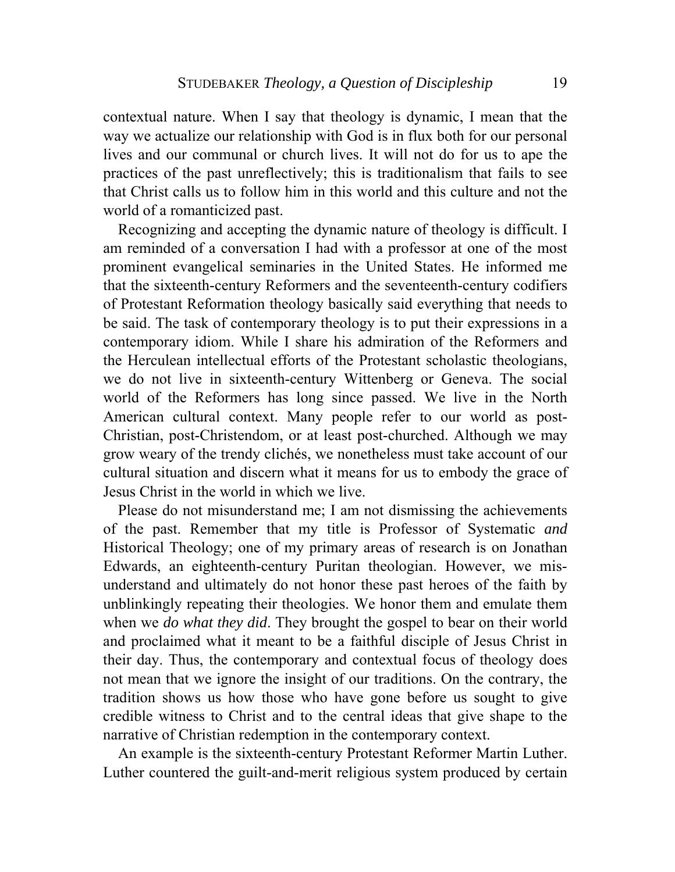contextual nature. When I say that theology is dynamic, I mean that the way we actualize our relationship with God is in flux both for our personal lives and our communal or church lives. It will not do for us to ape the practices of the past unreflectively; this is traditionalism that fails to see that Christ calls us to follow him in this world and this culture and not the world of a romanticized past.

 Recognizing and accepting the dynamic nature of theology is difficult. I am reminded of a conversation I had with a professor at one of the most prominent evangelical seminaries in the United States. He informed me that the sixteenth-century Reformers and the seventeenth-century codifiers of Protestant Reformation theology basically said everything that needs to be said. The task of contemporary theology is to put their expressions in a contemporary idiom. While I share his admiration of the Reformers and the Herculean intellectual efforts of the Protestant scholastic theologians, we do not live in sixteenth-century Wittenberg or Geneva. The social world of the Reformers has long since passed. We live in the North American cultural context. Many people refer to our world as post-Christian, post-Christendom, or at least post-churched. Although we may grow weary of the trendy clichés, we nonetheless must take account of our cultural situation and discern what it means for us to embody the grace of Jesus Christ in the world in which we live.

 Please do not misunderstand me; I am not dismissing the achievements of the past. Remember that my title is Professor of Systematic *and*  Historical Theology; one of my primary areas of research is on Jonathan Edwards, an eighteenth-century Puritan theologian. However, we misunderstand and ultimately do not honor these past heroes of the faith by unblinkingly repeating their theologies. We honor them and emulate them when we *do what they did*. They brought the gospel to bear on their world and proclaimed what it meant to be a faithful disciple of Jesus Christ in their day. Thus, the contemporary and contextual focus of theology does not mean that we ignore the insight of our traditions. On the contrary, the tradition shows us how those who have gone before us sought to give credible witness to Christ and to the central ideas that give shape to the narrative of Christian redemption in the contemporary context.

 An example is the sixteenth-century Protestant Reformer Martin Luther. Luther countered the guilt-and-merit religious system produced by certain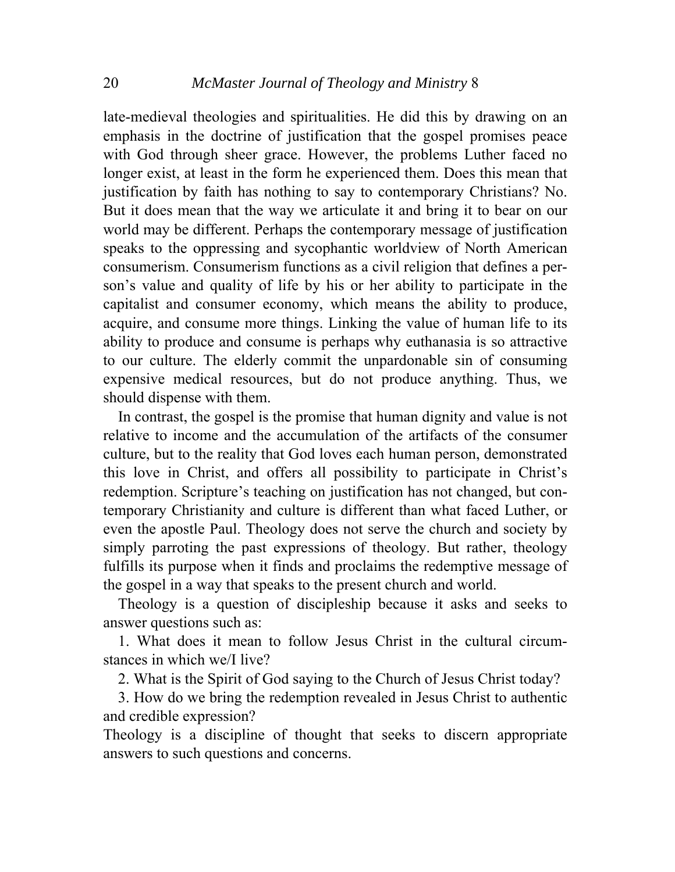late-medieval theologies and spiritualities. He did this by drawing on an emphasis in the doctrine of justification that the gospel promises peace with God through sheer grace. However, the problems Luther faced no longer exist, at least in the form he experienced them. Does this mean that justification by faith has nothing to say to contemporary Christians? No. But it does mean that the way we articulate it and bring it to bear on our world may be different. Perhaps the contemporary message of justification speaks to the oppressing and sycophantic worldview of North American consumerism. Consumerism functions as a civil religion that defines a person's value and quality of life by his or her ability to participate in the capitalist and consumer economy, which means the ability to produce, acquire, and consume more things. Linking the value of human life to its ability to produce and consume is perhaps why euthanasia is so attractive to our culture. The elderly commit the unpardonable sin of consuming expensive medical resources, but do not produce anything. Thus, we should dispense with them.

 In contrast, the gospel is the promise that human dignity and value is not relative to income and the accumulation of the artifacts of the consumer culture, but to the reality that God loves each human person, demonstrated this love in Christ, and offers all possibility to participate in Christ's redemption. Scripture's teaching on justification has not changed, but contemporary Christianity and culture is different than what faced Luther, or even the apostle Paul. Theology does not serve the church and society by simply parroting the past expressions of theology. But rather, theology fulfills its purpose when it finds and proclaims the redemptive message of the gospel in a way that speaks to the present church and world.

 Theology is a question of discipleship because it asks and seeks to answer questions such as:

 1. What does it mean to follow Jesus Christ in the cultural circumstances in which we/I live?

2. What is the Spirit of God saying to the Church of Jesus Christ today?

 3. How do we bring the redemption revealed in Jesus Christ to authentic and credible expression?

Theology is a discipline of thought that seeks to discern appropriate answers to such questions and concerns.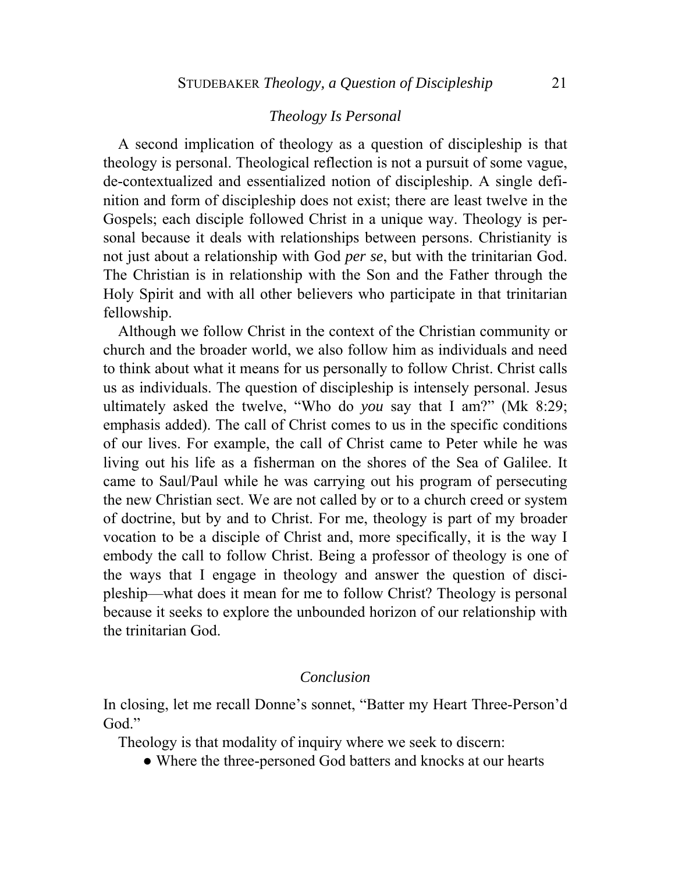# *Theology Is Personal*

 A second implication of theology as a question of discipleship is that theology is personal. Theological reflection is not a pursuit of some vague, de-contextualized and essentialized notion of discipleship. A single definition and form of discipleship does not exist; there are least twelve in the Gospels; each disciple followed Christ in a unique way. Theology is personal because it deals with relationships between persons. Christianity is not just about a relationship with God *per se*, but with the trinitarian God. The Christian is in relationship with the Son and the Father through the Holy Spirit and with all other believers who participate in that trinitarian fellowship.

 Although we follow Christ in the context of the Christian community or church and the broader world, we also follow him as individuals and need to think about what it means for us personally to follow Christ. Christ calls us as individuals. The question of discipleship is intensely personal. Jesus ultimately asked the twelve, "Who do *you* say that I am?" (Mk 8:29; emphasis added). The call of Christ comes to us in the specific conditions of our lives. For example, the call of Christ came to Peter while he was living out his life as a fisherman on the shores of the Sea of Galilee. It came to Saul/Paul while he was carrying out his program of persecuting the new Christian sect. We are not called by or to a church creed or system of doctrine, but by and to Christ. For me, theology is part of my broader vocation to be a disciple of Christ and, more specifically, it is the way I embody the call to follow Christ. Being a professor of theology is one of the ways that I engage in theology and answer the question of discipleship—what does it mean for me to follow Christ? Theology is personal because it seeks to explore the unbounded horizon of our relationship with the trinitarian God.

### *Conclusion*

In closing, let me recall Donne's sonnet, "Batter my Heart Three-Person'd God."

Theology is that modality of inquiry where we seek to discern:

• Where the three-personed God batters and knocks at our hearts